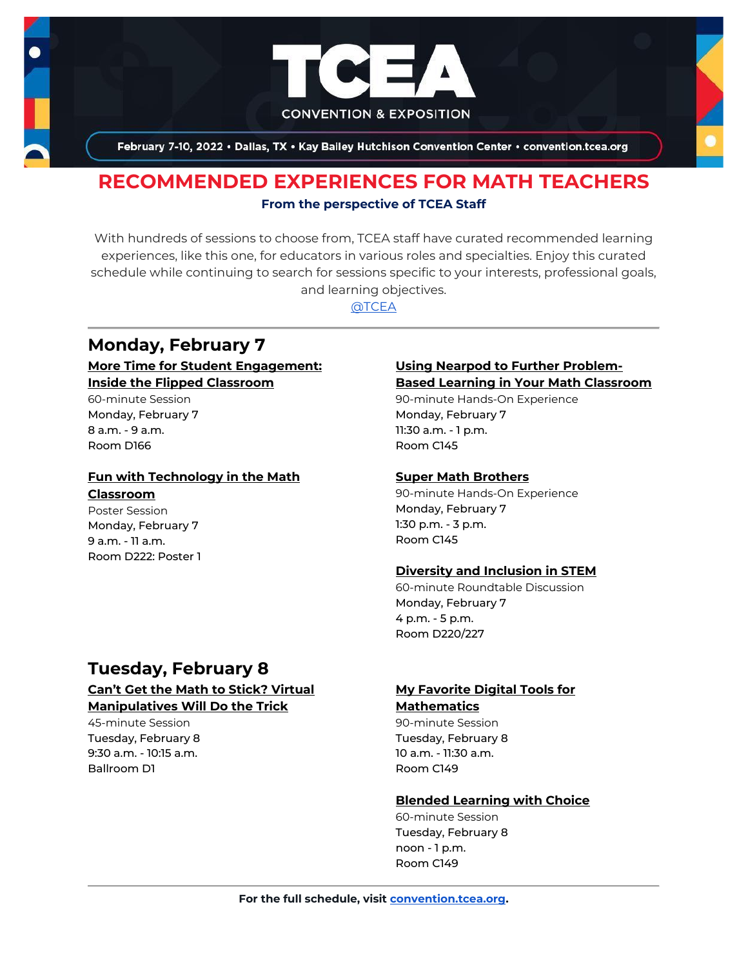

February 7-10, 2022 . Dallas, TX . Kay Bailey Hutchison Convention Center . convention.tcea.org

## **RECOMMENDED EXPERIENCES FOR MATH TEACHERS From the perspective of TCEA Staff**

With hundreds of sessions to choose from, TCEA staff have curated recommended learning experiences, like this one, for educators in various roles and specialties. Enjoy this curated schedule while continuing to search for sessions specific to your interests, professional goals, and learning objectives.

[@TCEA](https://twitter.com/TCEA)

## **Monday, February 7**

**[More Time for Student Engagement:](https://register.tcea.org/2022/session_list.cfm?session_key=023D8642-F04D-A206-2B64-19D43D34C87E&session_date=Monday,%20Feb%2007,%202022)  [Inside the Flipped Classroom](https://register.tcea.org/2022/session_list.cfm?session_key=023D8642-F04D-A206-2B64-19D43D34C87E&session_date=Monday,%20Feb%2007,%202022)**

60-minute Session Monday, February 7 8 a.m. - 9 a.m. Room D166

#### **[Fun with Technology in the Math](https://register.tcea.org/2022/session_list.cfm?session_key=02382410-F04D-A206-2B64-28CEDA7F90C5&session_date=Monday,%20Feb%2007,%202022)  [Classroom](https://register.tcea.org/2022/session_list.cfm?session_key=02382410-F04D-A206-2B64-28CEDA7F90C5&session_date=Monday,%20Feb%2007,%202022)**

Poster Session Monday, February 7 9 a.m. - 11 a.m. Room D222: Poster 1

# **Tuesday, February 8**

### **[Can't Get the Math to Stick? Virtual](https://register.tcea.org/2022/session_list.cfm?session_key=0232E24F-F04D-A206-2B64-354980D11AF8&session_date=Tuesday,%20Feb%2008,%202022)  [Manipulatives Will Do the Trick](https://register.tcea.org/2022/session_list.cfm?session_key=0232E24F-F04D-A206-2B64-354980D11AF8&session_date=Tuesday,%20Feb%2008,%202022)**

45-minute Session Tuesday, February 8 9:30 a.m. - 10:15 a.m. Ballroom D1

#### **[Using Nearpod to Further Problem-](https://register.tcea.org/2022/session_list.cfm?session_key=0244D961-F04D-A206-2B64-2B63BC792E94&session_date=Monday,%20Feb%2007,%202022)[Based Learning in Your Math Classroom](https://register.tcea.org/2022/session_list.cfm?session_key=0244D961-F04D-A206-2B64-2B63BC792E94&session_date=Monday,%20Feb%2007,%202022)**

90-minute Hands-On Experience Monday, February 7 11:30 a.m. - 1 p.m. Room C145

#### **[Super Math Brothers](https://register.tcea.org/2022/session_list.cfm?session_key=02419E63-F04D-A206-2B64-4B3F0572FB52&session_date=Monday,%20Feb%2007,%202022)**

90-minute Hands-On Experience Monday, February 7 1:30 p.m. - 3 p.m. Room C145

#### **[Diversity and Inclusion in STEM](https://register.tcea.org/2022/session_list.cfm?session_key=02368551-F04D-A206-2B64-82AD02836318&session_date=Monday,%20Feb%2007,%202022)**

60-minute Roundtable Discussion Monday, February 7 4 p.m. - 5 p.m. Room D220/227

#### **[My Favorite Digital Tools for](https://register.tcea.org/2022/session_list.cfm?session_key=023D9A76-F04D-A206-2B64-762782D5B157&session_date=Tuesday,%20Feb%2008,%202022)  [Mathematics](https://register.tcea.org/2022/session_list.cfm?session_key=023D9A76-F04D-A206-2B64-762782D5B157&session_date=Tuesday,%20Feb%2008,%202022)**

90-minute Session Tuesday, February 8 10 a.m. - 11:30 a.m. Room C149

#### **[Blended Learning with Choice](https://register.tcea.org/2022/session_list.cfm?session_key=0231FDFA-F04D-A206-2B64-D1FB06269EC3&session_date=Tuesday,%20Feb%2008,%202022)**

60-minute Session Tuesday, February 8 noon - 1 p.m. Room C149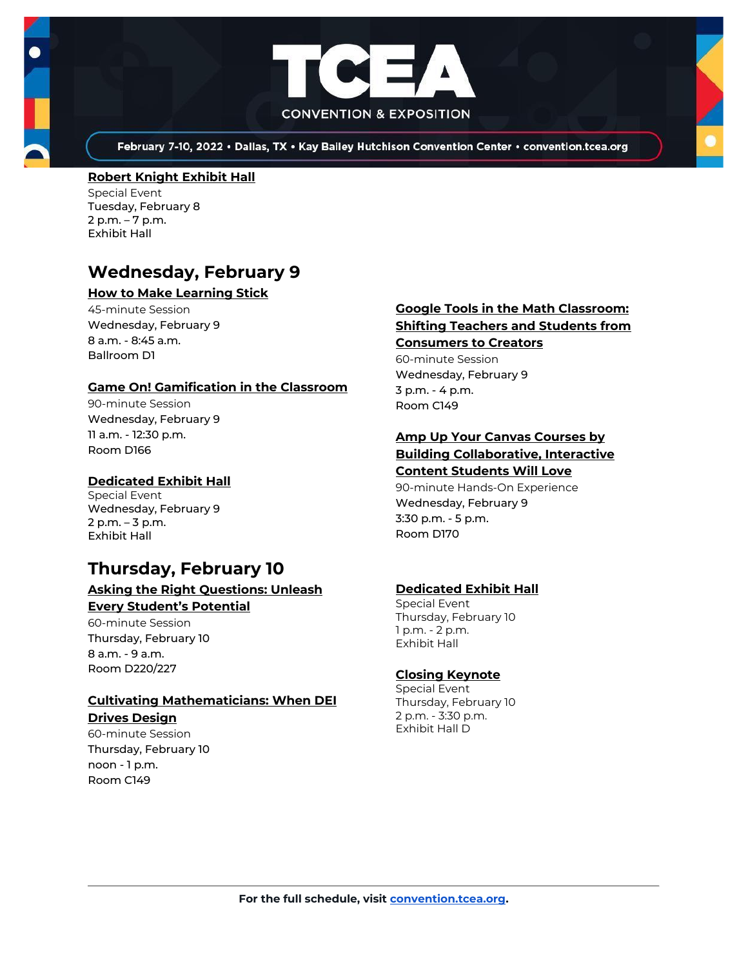



February 7-10, 2022 . Dallas, TX . Kay Bailey Hutchison Convention Center . convention.tcea.org

#### **[Robert Knight Exhibit Hall](https://register.tcea.org/2022/session_list.cfm?session_key=61CDF249-F04D-A206-2B64-15D6559D2515&session_date=Tuesday,%20Feb%2008,%202022)**

Special Event Tuesday, February 8 2 p.m. – 7 p.m. Exhibit Hall

# **Wednesday, February 9**

#### **[How to Make Learning Stick](https://register.tcea.org/2022/session_list.cfm?session_key=0239CCCB-F04D-A206-2B64-DB4E1243673F&session_date=Wednesday,%20Feb%2009,%202022)**

45-minute Session Wednesday, February 9 8 a.m. - 8:45 a.m. Ballroom D1

#### **[Game On! Gamification in the Classroom](https://register.tcea.org/2022/session_list.cfm?session_key=02385502-F04D-A206-2B64-00021E9CC407&session_date=Wednesday,%20Feb%2009,%202022)**

90-minute Session Wednesday, February 9 11 a.m. - 12:30 p.m. Room D166

#### **[Dedicated Exhibit Hall](https://register.tcea.org/2022/session_list.cfm?session_key=61CDD8E6-F04D-A206-2B64-74AAAD8173D7&session_date=Wednesday,%20Feb%2009,%202022)**

Special Event Wednesday, February 9 2 p.m. – 3 p.m. Exhibit Hall

# **Thursday, February 10**

#### **[Asking the Right Questions: Unleash](https://register.tcea.org/2022/session_list.cfm?session_key=0231385F-F04D-A206-2B64-5EA11CC4CB7C&session_date=Thursday,%20Feb%2010,%202022)  [Every Student's Potential](https://register.tcea.org/2022/session_list.cfm?session_key=0231385F-F04D-A206-2B64-5EA11CC4CB7C&session_date=Thursday,%20Feb%2010,%202022)**

60-minute Session

Thursday, February 10 8 a.m. - 9 a.m. Room D220/227

## **[Cultivating Mathematicians: When DEI](https://register.tcea.org/2022/session_list.cfm?session_key=0234B2C6-F04D-A206-2B64-51F1ADA547E6&session_date=Thursday,%20Feb%2010,%202022)**

**[Drives Design](https://register.tcea.org/2022/session_list.cfm?session_key=0234B2C6-F04D-A206-2B64-51F1ADA547E6&session_date=Thursday,%20Feb%2010,%202022)**

60-minute Session Thursday, February 10 noon - 1 p.m. Room C149

#### **[Google Tools in the Math Classroom:](https://register.tcea.org/2022/session_list.cfm?session_key=02394705-F04D-A206-2B64-2B94ADCDC2EE&session_date=Wednesday,%20Feb%2009,%202022)  [Shifting Teachers and Students from](https://register.tcea.org/2022/session_list.cfm?session_key=02394705-F04D-A206-2B64-2B94ADCDC2EE&session_date=Wednesday,%20Feb%2009,%202022)  [Consumers to Creators](https://register.tcea.org/2022/session_list.cfm?session_key=02394705-F04D-A206-2B64-2B94ADCDC2EE&session_date=Wednesday,%20Feb%2009,%202022)**

60-minute Session Wednesday, February 9 3 p.m. - 4 p.m. Room C149

## **[Amp Up Your Canvas Courses by](https://register.tcea.org/2022/session_list.cfm?session_key=023089EE-F04D-A206-2B64-4F81AA0D3702&session_date=Wednesday,%20Feb%2009,%202022)  [Building Collaborative, Interactive](https://register.tcea.org/2022/session_list.cfm?session_key=023089EE-F04D-A206-2B64-4F81AA0D3702&session_date=Wednesday,%20Feb%2009,%202022)**

**[Content Students Will Love](https://register.tcea.org/2022/session_list.cfm?session_key=023089EE-F04D-A206-2B64-4F81AA0D3702&session_date=Wednesday,%20Feb%2009,%202022)** 90-minute Hands-On Experience Wednesday, February 9 3:30 p.m. - 5 p.m. Room D170

#### **[Dedicated Exhibit Hall](https://register.tcea.org/2022/session_list.cfm?session_key=61CDD8E6-F04D-A206-2B64-74AAAD8173D7&session_date=Thursday,%20Feb%2010,%202022)**

Special Event Thursday, February 10 1 p.m. - 2 p.m. Exhibit Hall

#### **[Closing Keynote](https://register.tcea.org/2022/session_list.cfm?session_key=5F4F3255-F04D-A206-2B64-6ACD0E3FF7E6&session_date=Thursday,%20Feb%2010,%202022)**

Special Event Thursday, February 10 2 p.m. - 3:30 p.m. Exhibit Hall D